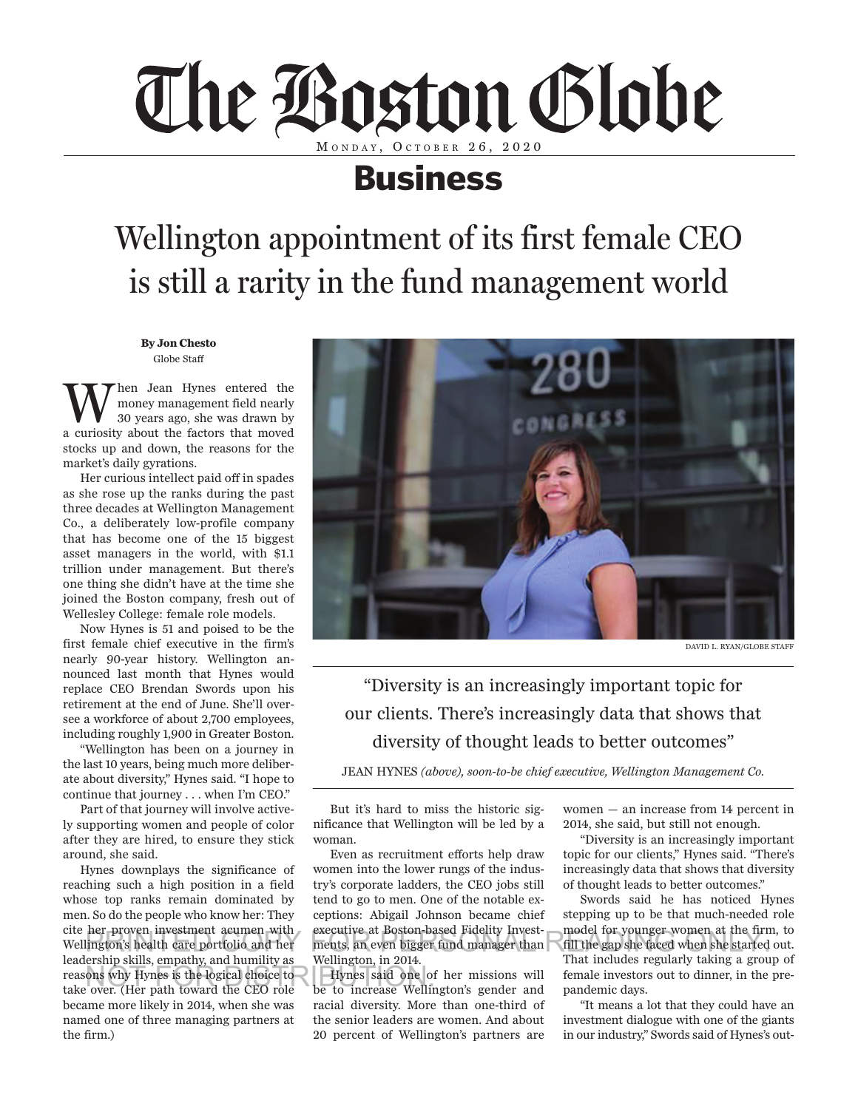

## Business

## Wellington appointment of its first female CEO is still a rarity in the fund management world

**By Jon Chesto** Globe Staff

**W** hen Jean Hynes entered the<br>
30 years ago, she was drawn by<br>
30 years ago, she was drawn by money management field nearly a curiosity about the factors that moved stocks up and down, the reasons for the market's daily gyrations.

Her curious intellect paid off in spades as she rose up the ranks during the past three decades at Wellington Management Co., a deliberately low-profile company that has become one of the 15 biggest asset managers in the world, with \$1.1 trillion under management. But there's one thing she didn't have at the time she joined the Boston company, fresh out of Wellesley College: female role models.

Now Hynes is 51 and poised to be the first female chief executive in the firm's nearly 90-year history. Wellington announced last month that Hynes would replace CEO Brendan Swords upon his retirement at the end of June. She'll oversee a workforce of about 2,700 employees, including roughly 1,900 in Greater Boston.

"Wellington has been on a journey in the last 10 years, being much more deliberate about diversity," Hynes said. "I hope to continue that journey . . . when I'm CEO."

Part of that journey will involve actively supporting women and people of color after they are hired, to ensure they stick around, she said.

Hynes downplays the significance of reaching such a high position in a field whose top ranks remain dominated by men. So do the people who know her: They cite her proven investment acumen with Wellington's health care portfolio and her leadership skills, empathy, and humility as reasons why Hynes is the logical choice to Hynes said one of take over (Her path toward the CEO role be to increase Welling take over. (Her path toward the CEO role became more likely in 2014, when she was named one of three managing partners at the firm.)



DAVID L. RYAN/GLOBE STAFF

"Diversity is an increasingly important topic for our clients. There's increasingly data that shows that diversity of thought leads to better outcomes"

JEAN HYNES *(above), soon-to-be chief executive, Wellington Management Co.*

But it's hard to miss the historic significance that Wellington will be led by a woman.

Even as recruitment efforts help draw women into the lower rungs of the industry's corporate ladders, the CEO jobs still tend to go to men. One of the notable exceptions: Abigail Johnson became chief executive at Boston-based Fidelity Investments, an even bigger fund manager than Wellington, in 2014. fill the gap she faced when the she she fill the gap she faced when she started out.<br>
Ington's health care portfolio and her ments, an even bigger fund manager than fill the gap she faced when she started out.

> Hynes said one of her missions will be to increase Wellington's gender and racial diversity. More than one-third of the senior leaders are women. And about 20 percent of Wellington's partners are

women — an increase from 14 percent in 2014, she said, but still not enough.

"Diversity is an increasingly important topic for our clients," Hynes said. "There's increasingly data that shows that diversity of thought leads to better outcomes."

Swords said he has noticed Hynes stepping up to be that much-needed role model for younger women at the firm, to That includes regularly taking a group of female investors out to dinner, in the prepandemic days.

"It means a lot that they could have an investment dialogue with one of the giants in our industry," Swords said of Hynes's out